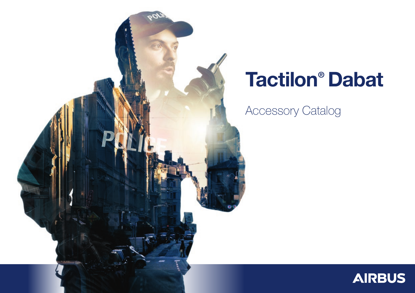

# Tactilon® Dabat

Accessory Catalog

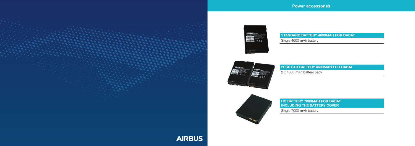#### STANDARD BATTERY 4600MAH FOR DABAT









### 2PCS STD BATTERY 4600MAH FOR DABAT 2 x 4600 mAh battery pack

HC BATTERY 7000MAH FOR DABAT INCLUDING THE BATTERY COVER Single 7000 mAh battery



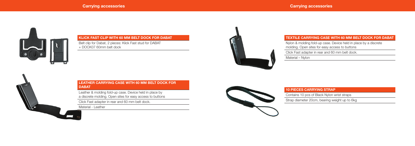



#### KLICK FAST CLIP WITH 60 MM BELT DOCK FOR DABAT

Belt clip for Dabat, 2 pieces: Klick Fast stud for DABAT + DOCK07 60mm belt dock



#### LEATHER CARRYING CASE WITH 60 MM BELT DOCK FOR **DABAT**

### 10 PIECES CARRYING STRAP

Contains 10 pcs of Black Nylon wrist straps

Strap diameter 20cm, bearing weight up to 6kg

Leather & molding fold-up case. Device held in place by a discrete molding. Open sites for easy access to buttons

Click Fast adapter in rear and 60 mm belt dock.

Material - Leather



#### TEXTILE CARRYING CASE WITH 60 MM BELT DOCK FOR DABAT

Nylon & molding fold-up case. Device held in place by a discrete molding. Open sites for easy access to buttons

Click Fast adapter in rear and 60 mm belt dock.

Material – Nylon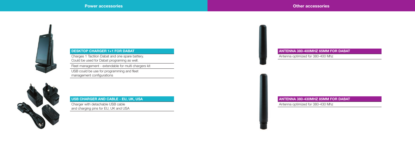

### DESKTOP CHARGER 1+1 FOR DABAT

Charges 1 Tactilon Dabat and one spare battery. Could be used for Dabat programing as well.

Fleet management - extendable for multi chargers kit

USB could be use for programming and fleet management configurations



#### ANTENNA 380-400MHZ 65MM FOR DABAT

Antenna optimized for 380-400 Mhz

#### USB CHARGER AND CABLE - EU, UK, USA

Charger with detachable USB cable and charging pins for EU, UK and USA ANTENNA 380-430MHZ 85MM FOR DABAT Antenna optimized for 380-430 Mhz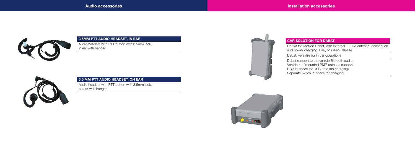

#### 3.5MM PTT AUDIO HEADSET, IN EAR

Audio headset with PTT button with 3.5mm jack, in ear with hanger



#### CAR SOLUTION FOR DABAT

Car kit for Tactilon Dabat, with external TETRA antenna connection and power charging. Easy to insert/ release

Dabat, versatile for in car operations



Dabat support to the vehicle Blutooth audio

Vehicle roof mounted PMR antenna support

USB interface for USB data (no charging)

Separate 5V/2A interface for charging

#### 3.5 MM PTT AUDIO HEADSET, ON EAR

Audio headset with PTT button with 3.5mm jack, on ear with hanger

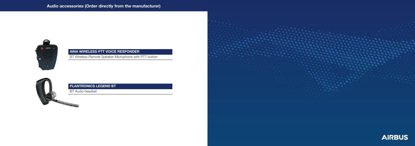

#### AINA WIRELESS PTT VOICE RESPONDER

BT Wireless Remote Speaker Microphone with PTT button



### PLANTRONICS LEGEND BT

BT Audio headset